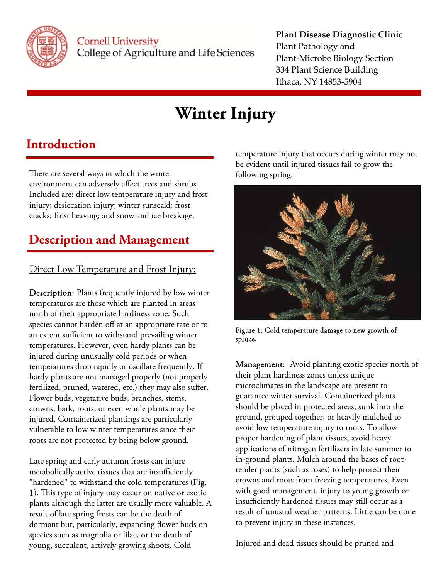

#### **Plant Disease Diagnostic Clinic** Plant Pathology and Plant‐Microbe Biology Section 334 Plant Science Building Ithaca, NY 14853‐5904

# **Winter Injury**

## **Introduction**

There are several ways in which the winter environment can adversely affect trees and shrubs. Included are: direct low temperature injury and frost injury; desiccation injury; winter sunscald; frost cracks; frost heaving; and snow and ice breakage.

# **Description and Management**

### Direct Low Temperature and Frost Injury:

Description: Plants frequently injured by low winter temperatures are those which are planted in areas north of their appropriate hardiness zone. Such species cannot harden off at an appropriate rate or to an extent sufficient to withstand prevailing winter temperatures. However, even hardy plants can be injured during unusually cold periods or when temperatures drop rapidly or oscillate frequently. If hardy plants are not managed properly (not properly fertilized, pruned, watered, etc.) they may also suffer. Flower buds, vegetative buds, branches, stems, crowns, bark, roots, or even whole plants may be injured. Containerized plantings are particularly vulnerable to low winter temperatures since their roots are not protected by being below ground.

Late spring and early autumn frosts can injure metabolically active tissues that are insufficiently "hardened" to withstand the cold temperatures (Fig. 1). This type of injury may occur on native or exotic plants although the latter are usually more valuable. A result of late spring frosts can be the death of dormant but, particularly, expanding flower buds on species such as magnolia or lilac, or the death of young, succulent, actively growing shoots. Cold

temperature injury that occurs during winter may not be evident until injured tissues fail to grow the following spring.



Figure 1: Cold temperature damage to new growth of spruce.

Management: Avoid planting exotic species north of their plant hardiness zones unless unique microclimates in the landscape are present to guarantee winter survival. Containerized plants should be placed in protected areas, sunk into the ground, grouped together, or heavily mulched to avoid low temperature injury to roots. To allow proper hardening of plant tissues, avoid heavy applications of nitrogen fertilizers in late summer to in-ground plants. Mulch around the bases of roottender plants (such as roses) to help protect their crowns and roots from freezing temperatures. Even with good management, injury to young growth or insufficiently hardened tissues may still occur as a result of unusual weather patterns. Little can be done to prevent injury in these instances.

Injured and dead tissues should be pruned and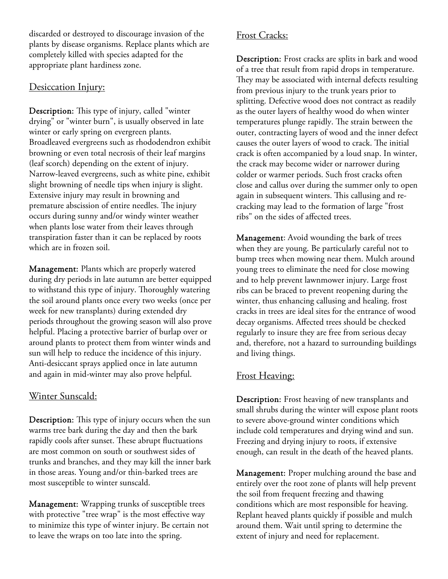discarded or destroyed to discourage invasion of the plants by disease organisms. Replace plants which are completely killed with species adapted for the appropriate plant hardiness zone.

#### Desiccation Injury:

Description: This type of injury, called "winter drying" or "winter burn", is usually observed in late winter or early spring on evergreen plants. Broadleaved evergreens such as rhododendron exhibit browning or even total necrosis of their leaf margins (leaf scorch) depending on the extent of injury. Narrow-leaved evergreens, such as white pine, exhibit slight browning of needle tips when injury is slight. Extensive injury may result in browning and premature abscission of entire needles. The injury occurs during sunny and/or windy winter weather when plants lose water from their leaves through transpiration faster than it can be replaced by roots which are in frozen soil.

Management: Plants which are properly watered during dry periods in late autumn are better equipped to withstand this type of injury. Thoroughly watering the soil around plants once every two weeks (once per week for new transplants) during extended dry periods throughout the growing season will also prove helpful. Placing a protective barrier of burlap over or around plants to protect them from winter winds and sun will help to reduce the incidence of this injury. Anti-desiccant sprays applied once in late autumn and again in mid-winter may also prove helpful.

#### Winter Sunscald:

Description: This type of injury occurs when the sun warms tree bark during the day and then the bark rapidly cools after sunset. These abrupt fluctuations are most common on south or southwest sides of trunks and branches, and they may kill the inner bark in those areas. Young and/or thin-barked trees are most susceptible to winter sunscald.

Management: Wrapping trunks of susceptible trees with protective "tree wrap" is the most effective way to minimize this type of winter injury. Be certain not to leave the wraps on too late into the spring.

#### Frost Cracks:

Description: Frost cracks are splits in bark and wood of a tree that result from rapid drops in temperature. They may be associated with internal defects resulting from previous injury to the trunk years prior to splitting. Defective wood does not contract as readily as the outer layers of healthy wood do when winter temperatures plunge rapidly. The strain between the outer, contracting layers of wood and the inner defect causes the outer layers of wood to crack. The initial crack is often accompanied by a loud snap. In winter, the crack may become wider or narrower during colder or warmer periods. Such frost cracks often close and callus over during the summer only to open again in subsequent winters. This callusing and recracking may lead to the formation of large "frost ribs" on the sides of affected trees.

Management: Avoid wounding the bark of trees when they are young. Be particularly careful not to bump trees when mowing near them. Mulch around young trees to eliminate the need for close mowing and to help prevent lawnmower injury. Large frost ribs can be braced to prevent reopening during the winter, thus enhancing callusing and healing. frost cracks in trees are ideal sites for the entrance of wood decay organisms. Affected trees should be checked regularly to insure they are free from serious decay and, therefore, not a hazard to surrounding buildings and living things.

#### Frost Heaving:

Description: Frost heaving of new transplants and small shrubs during the winter will expose plant roots to severe above-ground winter conditions which include cold temperatures and drying wind and sun. Freezing and drying injury to roots, if extensive enough, can result in the death of the heaved plants.

Management: Proper mulching around the base and entirely over the root zone of plants will help prevent the soil from frequent freezing and thawing conditions which are most responsible for heaving. Replant heaved plants quickly if possible and mulch around them. Wait until spring to determine the extent of injury and need for replacement.